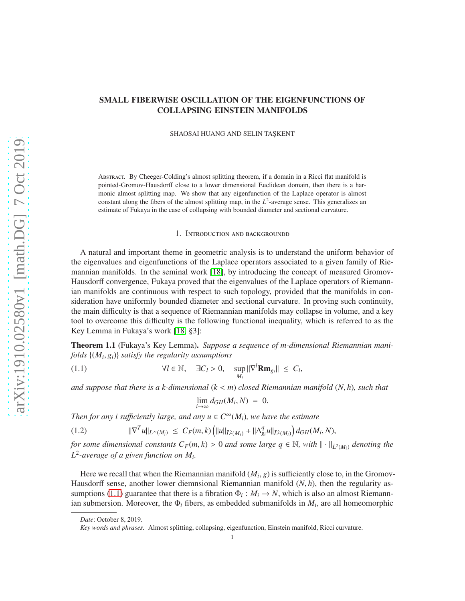## SMALL FIBERWISE OSCILLATION OF THE EIGENFUNCTIONS OF COLLAPSING EINSTEIN MANIFOLDS

SHAOSAI HUANG AND SELIN TAŞKENT

Abstract. By Cheeger-Colding's almost splitting theorem, if a domain in a Ricci flat manifold is pointed-Gromov-Hausdorff close to a lower dimensional Euclidean domain, then there is a harmonic almost splitting map. We show that any eigenfunction of the Laplace operator is almost constant along the fibers of the almost splitting map, in the  $L^2$ -average sense. This generalizes an estimate of Fukaya in the case of collapsing with bounded diameter and sectional curvature.

1. Introduction and backgroundd

A natural and important theme in geometric analysis is to understand the uniform behavior of the eigenvalues and eigenfunctions of the Laplace operators associated to a given family of Riemannian manifolds. In the seminal work [\[18\]](#page-14-0), by introducing the concept of measured Gromov-Hausdorff convergence, Fukaya proved that the eigenvalues of the Laplace operators of Riemannian manifolds are continuous with respect to such topology, provided that the manifolds in consideration have uniformly bounded diameter and sectional curvature. In proving such continuity, the main difficulty is that a sequence of Riemannian manifolds may collapse in volume, and a key tool to overcome this difficulty is the following functional inequality, which is referred to as the Key Lemma in Fukaya's work [\[18,](#page-14-0) §3]:

<span id="page-0-1"></span>Theorem 1.1 (Fukaya's Key Lemma). *Suppose a sequence of m-dimensional Riemannian manifolds* {(*M<sup>i</sup>* , *gi*)} *satisfy the regularity assumptions*

<span id="page-0-0"></span>(1.1) 
$$
\forall l \in \mathbb{N}, \quad \exists C_l > 0, \quad \sup_{M_i} ||\nabla^l \mathbf{R} \mathbf{m}_{g_i}|| \leq C_l,
$$

*and suppose that there is a k-dimensional* (*k* < *m*) *closed Riemannian manifold* (*N*, *h*)*, such that*

$$
\lim_{i\to\infty}d_{GH}(M_i,N) = 0.
$$

*Then for any i sufficiently large, and any*  $u \in C^{\infty}(M_i)$ *, we have the estimate* 

$$
(1.2) \t\t ||\nabla^T u||_{L^{\infty}(M_i)} \leq C_F(m,k) \left(||u||_{\bar{L}^2(M_i)} + ||\Delta_{g_i}^q u||_{\bar{L}^2(M_i)}\right) d_{GH}(M_i,N),
$$

*for some dimensional constants*  $C_F(m, k) > 0$  *and some large*  $q \in \mathbb{N}$ , with  $\|\cdot\|_{\bar{L}^2(M_i)}$  *denoting the L* 2 *-average of a given function on M<sup>i</sup> .*

Here we recall that when the Riemannian manifold  $(M_i, g)$  is sufficiently close to, in the Gromov-Hausdorff sense, another lower diemnsional Riemannian manifold (*N*, *h*), then the regularity as-sumptions [\(1.1\)](#page-0-0) guarantee that there is a fibration  $\Phi_i : M_i \to N$ , which is also an almost Riemannian submersion. Moreover, the  $\Phi_i$  fibers, as embedded submanifolds in  $M_i$ , are all homeomorphic

*Date*: October 8, 2019.

*Key words and phrases.* Almost splitting, collapsing, eigenfunction, Einstein manifold, Ricci curvature.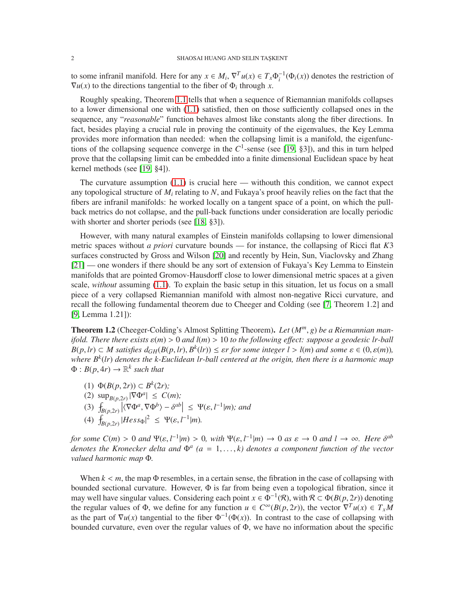to some infranil manifold. Here for any  $x \in M_i$ ,  $\nabla^T u(x) \in T_x \Phi_i^{-1}(\Phi_i(x))$  denotes the restriction of  $\nabla u(x)$  to the directions tangential to the fiber of  $\Phi_i$  through *x*.

Roughly speaking, Theorem [1.1](#page-0-1) tells that when a sequence of Riemannian manifolds collapses to a lower dimensional one with [\(1.1\)](#page-0-0) satisfied, then on those sufficiently collapsed ones in the sequence, any "*reasonable*" function behaves almost like constants along the fiber directions. In fact, besides playing a crucial rule in proving the continuity of the eigenvalues, the Key Lemma provides more information than needed: when the collapsing limit is a manifold, the eigenfunctions of the collapsing sequence converge in the  $C^1$ -sense (see [\[19,](#page-14-1) §3]), and this in turn helped prove that the collapsing limit can be embedded into a finite dimensional Euclidean space by heat kernel methods (see [\[19,](#page-14-1) §4]).

The curvature assumption  $(1.1)$  is crucial here — withouth this condition, we cannot expect any topological structure of *M<sup>i</sup>* relating to *N*, and Fukaya's proof heavily relies on the fact that the fibers are infranil manifolds: he worked locally on a tangent space of a point, on which the pullback metrics do not collapse, and the pull-back functions under consideration are locally periodic with shorter and shorter periods (see [\[18,](#page-14-0) §3]).

However, with many natural examples of Einstein manifolds collapsing to lower dimensional metric spaces without *a priori* curvature bounds — for instance, the collapsing of Ricci flat *K*3 surfaces constructed by Gross and Wilson [\[20\]](#page-14-2) and recently by Hein, Sun, Viaclovsky and Zhang [\[21\]](#page-15-0) — one wonders if there should be any sort of extension of Fukaya's Key Lemma to Einstein manifolds that are pointed Gromov-Hausdorff close to lower dimensional metric spaces at a given scale, *without* assuming [\(1.1\)](#page-0-0). To explain the basic setup in this situation, let us focus on a small piece of a very collapsed Riemannian manifold with almost non-negative Ricci curvature, and recall the following fundamental theorem due to Cheeger and Colding (see [\[7,](#page-14-3) Theorem 1.2] and [\[9,](#page-14-4) Lemma 1.21]):

<span id="page-1-0"></span>Theorem 1.2 (Cheeger-Colding's Almost Splitting Theorem). *Let* (*Mm*, *g*) *be a Riemannian manifold. There there exists*  $\varepsilon(m) > 0$  *and l(m)*  $> 10$  *to the following effect: suppose a geodesic lr-ball*  $B(p, lr) \subset M$  satisfies  $d_{GH}(B(p, lr), B^k(lr)) \leq \varepsilon r$  for some integer  $l > l(m)$  and some  $\varepsilon \in (0, \varepsilon(m))$ , *where B<sup>k</sup>* (*lr*) *denotes the k-Euclidean lr-ball centered at the origin, then there is a harmonic map*  $\Phi: B(p, 4r) \to \mathbb{R}^k$  such that

- (1)  $\Phi(B(p, 2r)) \subset B^k(2r)$ ;
- (2)  $\sup_{B(p, 2r)} |\nabla \Phi^a| \le C(m);$
- $\left|\langle \nabla \Phi^a, \nabla \Phi^b \rangle \delta^{ab} \right| \leq \Psi(\varepsilon, l^{-1}|m)$ ; and
- (4)  $\int_{B(p,2r)} |Hess_{\Phi}|^2 \leq \Psi(\varepsilon, l^{-1}|m)$ .

*for some*  $C(m) > 0$  *and*  $\Psi(\varepsilon, l^{-1}|m) > 0$ , with  $\Psi(\varepsilon, l^{-1}|m) \to 0$  *as*  $\varepsilon \to 0$  *and*  $l \to \infty$ . Here  $\delta^{ab}$ *denotes the Kronecker delta and*  $Φ<sup>a</sup>$  (*a* = 1, ...,*k*) *denotes a component function of the vector valued harmonic map* Φ*.*

When  $k < m$ , the map  $\Phi$  resembles, in a certain sense, the fibration in the case of collapsing with bounded sectional curvature. However, Φ is far from being even a topological fibration, since it may well have singular values. Considering each point  $x \in \Phi^{-1}(\mathcal{R})$ , with  $\mathcal{R} \subset \Phi(B(p, 2r))$  denoting the regular values of  $\Phi$ , we define for any function  $u \in C^{\infty}(B(p, 2r))$ , the vector  $\nabla^{T} u(x) \in T_xM$ as the part of  $\nabla u(x)$  tangential to the fiber  $\Phi^{-1}(\Phi(x))$ . In contrast to the case of collapsing with bounded curvature, even over the regular values of Φ, we have no information about the specific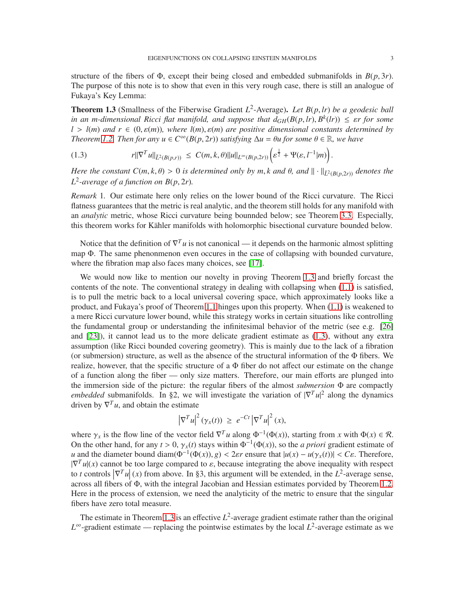structure of the fibers of  $\Phi$ , except their being closed and embedded submanifolds in  $B(p, 3r)$ . The purpose of this note is to show that even in this very rough case, there is still an analogue of Fukaya's Key Lemma:

<span id="page-2-0"></span>**Theorem 1.3** (Smallness of the Fiberwise Gradient  $L^2$ -Average). Let  $B(p, lr)$  be a geodesic ball *in an m-dimensional Ricci flat manifold, and suppose that*  $d_{GH}(B(p,lr), B^k(lr)) \leq \varepsilon r$  *for some*  $l > l(m)$  *and*  $r \in (0, \varepsilon(m))$ *, where*  $l(m), \varepsilon(m)$  *are positive dimensional constants determined by Theorem [1.2.](#page-1-0) Then for any*  $u \in C^\infty(B(p, 2r))$  *satisfying*  $\Delta u = \theta u$  *for some*  $\theta \in \mathbb{R}$ *, we have* 

<span id="page-2-1"></span>
$$
(1.3) \t\t\t r||\nabla^T u||_{\tilde{L}^2(B(p,r))} \leq C(m,k,\theta)||u||_{L^{\infty}(B(p,2r))}\left(\varepsilon^{\frac{1}{2}} + \Psi(\varepsilon, l^{-1}|m)\right).
$$

*Here the constant*  $C(m, k, \theta) > 0$  *is determined only by m, k and*  $\theta$ *, and*  $\|\cdot\|_{\bar{L}^2(B(p, 2r))}$  *denotes the*  $L^2$ -average of a function on  $B(p, 2r)$ .

*Remark* 1*.* Our estimate here only relies on the lower bound of the Ricci curvature. The Ricci flatness guarantees that the metric is real analytic, and the theorem still holds for any manifold with an *analytic* metric, whose Ricci curvature being bounnded below; see Theorem [3.3.](#page-12-0) Especially, this theorem works for Kähler manifolds with holomorphic bisectional curvature bounded below.

Notice that the definition of  $\nabla^T u$  is not canonical — it depends on the harmonic almost splitting map Φ. The same phenonmenon even occures in the case of collapsing with bounded curvature, where the fibration map also faces many choices, see [\[17\]](#page-14-5).

We would now like to mention our novelty in proving Theorem [1.3](#page-2-0) and briefly forcast the contents of the note. The conventional strategy in dealing with collapsing when [\(1.1\)](#page-0-0) is satisfied, is to pull the metric back to a local universal covering space, which approximately looks like a product, and Fukaya's proof of Theorem [1.1](#page-0-1) hinges upon this property. When [\(1.1\)](#page-0-0) is weakened to a mere Ricci curvature lower bound, while this strategy works in certain situations like controlling the fundamental group or understanding the infinitesimal behavior of the metric (see e.g.  $[26]$ ) and [\[23\]](#page-15-2)), it cannot lead us to the more delicate gradient estimate as [\(1.3\)](#page-2-1), without any extra assumption (like Ricci bounded covering geometry). This is mainly due to the lack of a fibration (or submersion) structure, as well as the absence of the structural information of the Φ fibers. We realize, however, that the specific structure of a  $\Phi$  fiber do not affect our estimate on the change of a function along the fiber — only size matters. Therefore, our main efforts are plunged into the immersion side of the picture: the regular fibers of the almost *submersion* Φ are compactly *embedded* submanifolds. In §2, we will investigate the variation of  $|\nabla^T u|^2$  along the dynamics driven by  $\nabla^T u$ , and obtain the estimate

$$
\left|\nabla^T u\right|^2 (\gamma_x(t)) \geq e^{-Ct} \left|\nabla^T u\right|^2 (x),
$$

where  $\gamma_x$  is the flow line of the vector field  $\nabla^T u$  along  $\Phi^{-1}(\Phi(x))$ , starting from *x* with  $\Phi(x) \in \mathcal{R}$ . On the other hand, for any  $t > 0$ ,  $\gamma_x(t)$  stays within  $\Phi^{-1}(\Phi(x))$ , so the *a priori* gradient estimate of *u* and the diameter bound diam( $\Phi^{-1}(\Phi(x)), g$ ) < 2 $\varepsilon r$  ensure that  $|u(x) - u(\gamma_x(t))|$  <  $C\varepsilon$ . Therefore,  $|\nabla^{T} u(x)|$  cannot be too large compared to  $\varepsilon$ , because integrating the above inequality with respect to *t* controls  $|\nabla^T u(x)|$  from above. In §3, this argument will be extended, in the *L*<sup>2</sup>-average sense, to *t* controis  $|V^*u|(x)$  from above. In §5, this argument will be extended, in the *L*-average sense, across all fibers of Φ, with the integral Jacobian and Hessian estimates porvided by Theorem [1.2.](#page-1-0) Here in the process of extension, we need the analyticity of the metric to ensure that the singular fibers have zero total measure.

The estimate in Theorem [1.3](#page-2-0) is an effective  $L^2$ -average gradient estimate rather than the original  $L^{\infty}$ -gradient estimate — replacing the pointwise estimates by the local  $L^2$ -average estimate as we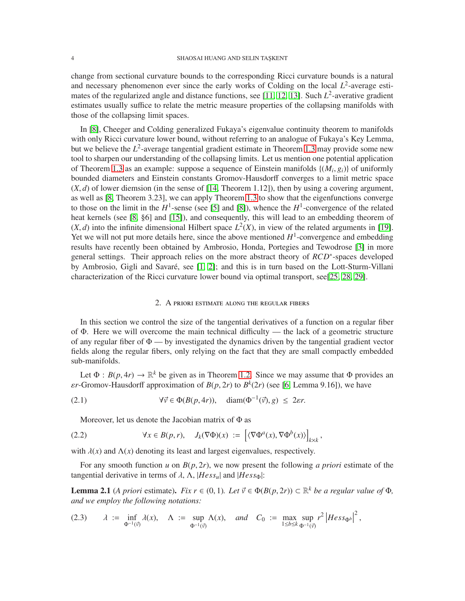change from sectional curvature bounds to the corresponding Ricci curvature bounds is a natural and necessary phenomenon ever since the early works of Colding on the local  $L^2$ -average esti-mates of the regularized angle and distance functions, see [\[11,](#page-14-6) [12,](#page-14-7) [13\]](#page-14-8). Such  $L^2$ -averative gradient estimates usually suffice to relate the metric measure properties of the collapsing manifolds with those of the collapsing limit spaces.

In [\[8\]](#page-14-9), Cheeger and Colding generalized Fukaya's eigenvalue continuity theorem to manifolds with only Ricci curvature lower bound, without referring to an analogue of Fukaya's Key Lemma, but we believe the *L* 2 -average tangential gradient estimate in Theorem [1.3](#page-2-0) may provide some new tool to sharpen our understanding of the collapsing limits. Let us mention one potential application of Theorem [1.3](#page-2-0) as an example: suppose a sequence of Einstein manifolds  $\{(M_i, g_i)\}\)$  of uniformly bounded diameters and Einstein constants Gromov-Hausdorff converges to a limit metric space  $(X, d)$  of lower diemsion (in the sense of [\[14,](#page-14-10) Theorem 1.12]), then by using a covering argument, as well as [\[8,](#page-14-9) Theorem 3.23], we can apply Theorem [1.3](#page-2-0) to show that the eigenfunctions converge to those on the limit in the  $H^1$ -sense (see [\[5\]](#page-14-11) and [\[8\]](#page-14-9)), whence the  $H^1$ -convergence of the related heat kernels (see [\[8,](#page-14-9) §6] and [\[15\]](#page-14-12)), and consequently, this will lead to an embedding theorem of  $(X, d)$  into the infinite dimensional Hilbert space  $L^2(X)$ , in view of the related arguments in [\[19\]](#page-14-1). Yet we will not put more details here, since the above mentioned  $H<sup>1</sup>$ -convergence and embedding results have recently been obtained by Ambrosio, Honda, Portegies and Tewodrose [\[3\]](#page-14-13) in more general settings. Their approach relies on the more abstract theory of *RCD*<sup>∗</sup>-spaces developed by Ambrosio, Gigli and Savaré, see [\[1,](#page-14-14) [2\]](#page-14-15); and this is in turn based on the Lott-Sturm-Villani characterization of the Ricci curvature lower bound via optimal transport, see[\[25,](#page-15-3) [28,](#page-15-4) [29\]](#page-15-5).

## 2. A priori estimate along the regular fibers

In this section we control the size of the tangential derivatives of a function on a regular fiber of Φ. Here we will overcome the main technical difficulty — the lack of a geometric structure of any regular fiber of  $\Phi$  — by investigated the dynamics driven by the tangential gradient vector fields along the regular fibers, only relying on the fact that they are small compactly embedded sub-manifolds.

Let  $\Phi : B(p, 4r) \to \mathbb{R}^k$  be given as in Theorem [1.2.](#page-1-0) Since we may assume that  $\Phi$  provides an  $\epsilon r$ -Gromov-Hausdorff approximation of  $B(p, 2r)$  to  $B^k(2r)$  (see [\[6,](#page-14-16) Lemma 9.16]), we have

<span id="page-3-0"></span>(2.1) 
$$
\forall \vec{v} \in \Phi(B(p, 4r)), \quad \text{diam}(\Phi^{-1}(\vec{v}), g) \leq 2\epsilon r.
$$

Moreover, let us denote the Jacobian matrix of Φ as

<span id="page-3-3"></span>(2.2) 
$$
\forall x \in B(p,r), \quad J_k(\nabla \Phi)(x) := \left[ \langle \nabla \Phi^a(x), \nabla \Phi^b(x) \rangle \right]_{k \times k},
$$

with  $\lambda(x)$  and  $\Lambda(x)$  denoting its least and largest eigenvalues, respectively.

For any smooth function *u* on  $B(p, 2r)$ , we now present the following *a priori* estimate of the tangential derivative in terms of  $\lambda$ ,  $\Lambda$ ,  $|Hess_u|$  and  $|Hess_{\Phi}|$ :

<span id="page-3-2"></span>**Lemma 2.1** (*A priori* estimate). *Fix r* ∈ (0, 1)*. Let*  $\vec{v}$  ∈  $\Phi(B(p, 2r)) \subset \mathbb{R}^k$  *be a regular value of*  $\Phi$ *, and we employ the following notations:*

<span id="page-3-1"></span>
$$
(2.3) \quad \lambda := \inf_{\Phi^{-1}(\vec{v})} \lambda(x), \quad \Lambda := \sup_{\Phi^{-1}(\vec{v})} \Lambda(x), \quad \text{and} \quad C_0 := \max_{1 \le b \le k} \sup_{\Phi^{-1}(\vec{v})} r^2 \left| \text{Hess}_{\Phi^b} \right|^2,
$$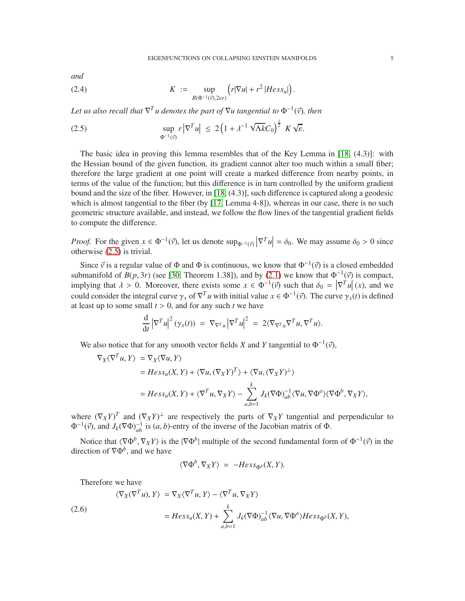*and*

<span id="page-4-1"></span>(2.4) 
$$
K := \sup_{B(\Phi^{-1}(\vec{v}), 2\epsilon r)} \left( r|\nabla u| + r^2 |Hess_u| \right).
$$

Let us also recall that  $\nabla^T u$  denotes the part of  $\nabla u$  tangential to  $\Phi^{-1}(\vec{v})$ , then

<span id="page-4-0"></span>(2.5) 
$$
\sup_{\Phi^{-1}(\vec{v})} r |\nabla^T u| \leq 2 \left( 1 + \lambda^{-1} \sqrt{\Lambda k} C_0 \right)^{\frac{1}{2}} K \sqrt{\varepsilon}.
$$

The basic idea in proving this lemma resembles that of the Key Lemma in [\[18,](#page-14-0) (4.3)]: with the Hessian bound of the given function, its gradient cannot alter too much within a small fiber; therefore the large gradient at one point will create a marked difference from nearby points, in terms of the value of the function; but this difference is in turn controlled by the uniform gradient bound and the size of the fiber. However, in [\[18,](#page-14-0) (4.3)], such difference is captured along a geodesic which is almost tangential to the fiber (by [\[17,](#page-14-5) Lemma 4-8]), whereas in our case, there is no such geometric structure available, and instead, we follow the flow lines of the tangential gradient fields to compute the difference.

*Proof.* For the given  $x \in \Phi^{-1}(\vec{v})$ , let us denote  $\sup_{\Phi^{-1}(\vec{v})} |\nabla^T u| = \delta_0$ . We may assume  $\delta_0 > 0$  since otherwise (2.5) is trivial otherwise [\(2.5\)](#page-4-0) is trivial.

Since  $\vec{v}$  is a regular value of  $\Phi$  and  $\Phi$  is continuous, we know that  $\Phi^{-1}(\vec{v})$  is a closed embedded submanifold of  $B(p, 3r)$  (see [\[30,](#page-15-6) Theorem 1.38]), and by [\(2.1\)](#page-3-0) we know that  $\Phi^{-1}(\vec{v})$  is compact, implying that  $\lambda > 0$ . Moreover, there exists some  $x \in \Phi^{-1}(\vec{v})$  such that  $\delta_0 = |\nabla^T u|(x)$ , and we could consider the integral summa  $u \in \nabla^T u$  initial value  $u \in \Phi^{-1}(\vec{v})$ . The summa  $u(x)$  is defined  $\begin{bmatrix} V \\ \vdots \end{bmatrix}$ could consider the integral curve  $\gamma_x$  of  $\nabla^T u$  with initial value  $x \in \Phi^{-1}(\vec{v})$ . The curve  $\gamma_x(t)$  is defined at least up to some small  $t > 0$ , and for any such  $t$  we have

$$
\frac{\mathrm{d}}{\mathrm{d}t} |\nabla^T u|^2 (\gamma_x(t)) = \nabla_{\nabla^T u} |\nabla^T u|^2 = 2 \langle \nabla_{\nabla^T u} \nabla^T u, \nabla^T u \rangle.
$$

We also notice that for any smooth vector fields *X* and *Y* tangential to  $\Phi^{-1}(\vec{v})$ ,

$$
\nabla_X \langle \nabla^T u, Y \rangle = \nabla_X \langle \nabla u, Y \rangle
$$
  
=  $Hess_u(X, Y) + \langle \nabla u, (\nabla_X Y)^T \rangle + \langle \nabla u, (\nabla_X Y)^{\perp} \rangle$   
=  $Hess_u(X, Y) + \langle \nabla^T u, \nabla_X Y \rangle - \sum_{a,b=1}^k J_k(\nabla \Phi)^{-1}_{ab} \langle \nabla u, \nabla \Phi^a \rangle \langle \nabla \Phi^b, \nabla_X Y \rangle$ ,

where  $(\nabla_X Y)^T$  and  $(\nabla_X Y)^{\perp}$  are respectively the parts of  $\nabla_X Y$  tangential and perpendicular to  $\Phi^{-1}(\vec{v})$ , and  $J_k(\nabla \Phi)^{-1}_{ab}$  is  $(a, b)$ -entry of the inverse of the Jacobian matrix of  $\Phi$ .

Notice that  $\langle \nabla \Phi^b, \nabla_X Y \rangle$  is the  $|\nabla \Phi^b|$  multiple of the second fundamental form of  $\Phi^{-1}(\vec{v})$  in the direction of <sup>∇</sup>Φ*<sup>b</sup>* , and we have

$$
\langle \nabla \Phi^b, \nabla_X Y \rangle = -Hess_{\Phi^b}(X, Y).
$$

Therefore we have

<span id="page-4-2"></span>(2.6)  
\n
$$
\langle \nabla_X (\nabla^T u), Y \rangle = \nabla_X \langle \nabla^T u, Y \rangle - \langle \nabla^T u, \nabla_X Y \rangle
$$
\n
$$
= Hess_u(X, Y) + \sum_{a,b=1}^k J_k(\nabla \Phi)^{-1}_{ab} \langle \nabla u, \nabla \Phi^a \rangle Hess_{\Phi^b}(X, Y),
$$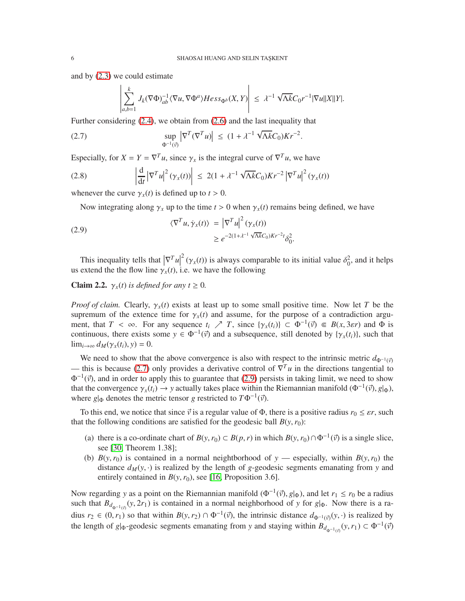and by [\(2.3\)](#page-3-1) we could estimate

$$
\left|\sum_{a,b=1}^k J_k(\nabla \Phi)^{-1}_{ab} \langle \nabla u, \nabla \Phi^a \rangle Hess_{\Phi^b}(X,Y)\right| \leq \lambda^{-1} \sqrt{\Lambda k} C_0 r^{-1} |\nabla u||X||Y|.
$$

Further considering [\(2.4\)](#page-4-1), we obtain from [\(2.6\)](#page-4-2) and the last inequality that

<span id="page-5-0"></span>(2.7) 
$$
\sup_{\Phi^{-1}(\vec{v})} |\nabla^{T}(\nabla^{T} u)| \leq (1 + \lambda^{-1} \sqrt{\Lambda k} C_{0}) K r^{-2}.
$$

Especially, for  $X = Y = \nabla^T u$ , since  $\gamma_x$  is the integral curve of  $\nabla^T u$ , we have

(2.8) 
$$
\left| \frac{\mathrm{d}}{\mathrm{d}t} \left| \nabla^T u \right|^2 (\gamma_x(t)) \right| \leq 2(1 + \lambda^{-1} \sqrt{\Lambda k} C_0) K r^{-2} \left| \nabla^T u \right|^2 (\gamma_x(t))
$$

whenever the curve  $\gamma_x(t)$  is defined up to  $t > 0$ .

Now integrating along  $\gamma_x$  up to the time  $t > 0$  when  $\gamma_x(t)$  remains being defined, we have

<span id="page-5-1"></span>(2.9) 
$$
\langle \nabla^T u, \dot{\gamma}_x(t) \rangle = \left| \nabla^T u \right|^2 (\gamma_x(t))
$$

$$
\geq e^{-2(1 + \lambda^{-1} \sqrt{\Lambda k} C_0) K r^{-2} t} \delta_0^2.
$$

This inequality tells that  $|\nabla^T u|^2 (\gamma_x(t))$  is always comparable to its initial value  $\delta_0^2$ , and it helps extend the the flow line  $\alpha(t)$  i.e. we have the following us extend the the flow line  $\gamma_x(t)$ , i.e. we have the following

<span id="page-5-2"></span>**Claim 2.2.**  $\gamma_x(t)$  *is defined for any t*  $\geq 0$ *.* 

*Proof of claim.* Clearly,  $\gamma_x(t)$  exists at least up to some small positive time. Now let *T* be the supremum of the extence time for  $\gamma_x(t)$  and assume, for the purpose of a contradiction argument, that  $T < \infty$ . For any sequence  $t_i \nearrow T$ , since  $\{\gamma_x(t_i)\} \subset \Phi^{-1}(\vec{v}) \in B(x, 3\varepsilon r)$  and  $\Phi$  is continuous, there exists some  $y \in \Phi^{-1}(\vec{v})$  and a subsequence, still denoted by  $\{\gamma_x(t_i)\}\)$ , such that  $\lim_{i\to\infty} d_M(\gamma_x(t_i), y) = 0.$ 

We need to show that the above convergence is also with respect to the intrinsic metric  $d_{\Phi^{-1}(\vec{v})}$ — this is because [\(2.7\)](#page-5-0) only provides a derivative control of  $\nabla^T u$  in the directions tangential to  $\Phi^{-1}(\vec{v})$ , and in order to apply this to guarantee that [\(2.9\)](#page-5-1) persists in taking limit, we need to show that the convergence  $\gamma_x(t_i) \to y$  actually takes place within the Riemannian manifold ( $\Phi^{-1}(\vec{v})$ ,  $g|_{\Phi}$ ), where *g*|<sub>Φ</sub> denotes the metric tensor *g* restricted to  $T\Phi^{-1}(\vec{v})$ .

To this end, we notice that since  $\vec{v}$  is a regular value of  $\Phi$ , there is a positive radius  $r_0 \leq \varepsilon r$ , such that the following conditions are satisfied for the geodesic ball  $B(y, r_0)$ :

- (a) there is a co-ordinate chart of  $B(y, r_0) \subset B(p, r)$  in which  $B(y, r_0) \cap \Phi^{-1}(\vec{v})$  is a single slice, see [\[30,](#page-15-6) Theorem 1.38];
- (b)  $B(y, r_0)$  is contained in a normal neightborhood of  $y$  especially, within  $B(y, r_0)$  the distance  $d_M(y, \cdot)$  is realized by the length of *g*-geodesic segments emanating from *y* and entirely contained in  $B(y, r_0)$ , see [\[16,](#page-14-17) Proposition 3.6].

Now regarding *y* as a point on the Riemannian manifold  $(\Phi^{-1}(\vec{v}), g|_{\Phi})$ , and let  $r_1 \le r_0$  be a radius such that  $B_{d_{\Phi^{-1}(v)}}(y, 2r_1)$  is contained in a normal neighborhood of *y* for *g*| $_{\Phi}$ . Now there is a radius  $r_2 \in (0, r_1)$  so that within  $B(y, r_2) \cap \Phi^{-1}(\vec{v})$ , the intrinsic distance  $d_{\Phi^{-1}(\vec{v})}(y, \cdot)$  is realized by the length of *g*| $_{\Phi}$ -geodesic segments emanating from *y* and staying within  $B_{d_{\Phi^{-1}(\vec{v})}}(y, r_1) \subset \Phi^{-1}(\vec{v})$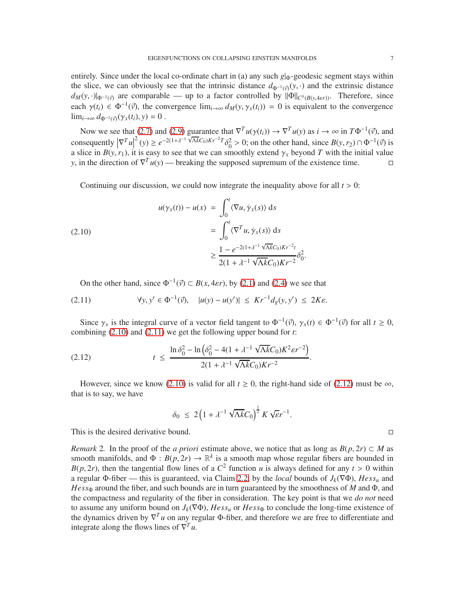entirely. Since under the local co-ordinate chart in (a) any such *g*|<sub>Φ</sub>-geodesic segment stays within the slice, we can obviously see that the intrinsic distance  $d_{\Phi^{-1}(\vec{v})}(y, \cdot)$  and the extrinsic distance  $d_M(y, \cdot)|_{\Phi^{-1}(\vec{v})}$  are comparable — up to a factor controlled by  $\|\Phi\|_{C^3(B(y, 4\epsilon r))}$ . Therefore, since each  $\gamma(t_i) \in \Phi^{-1}(\vec{v})$ , the convergence  $\lim_{i\to\infty} d_M(y, \gamma_x(t_i)) = 0$  is equivalent to the convergence  $\lim_{i\to\infty} d_{\Phi^{-1}(\vec{v})}(\gamma_x(t_i), y) = 0$ .

Now we see that [\(2.7\)](#page-5-0) and [\(2.9\)](#page-5-1) guarantee that  $\nabla^T u(\gamma(t_i)) \to \nabla^T u(\gamma)$  as  $i \to \infty$  in  $T\Phi^{-1}(\vec{\gamma})$ , and consequently  $|\nabla^T u|^2(y) \ge e^{-2(1+\lambda^{-1}\sqrt{\Lambda k}C_0)Kr^{-2}T}\delta_0^2 > 0$ ; on the other hand, since  $B(y, r_2) \cap \Phi^{-1}(\vec{v})$  is consequently  $|V^*u| \leq e^{-c_1t}$   $\cdots$   $|V^{**}u| \leq \sigma_0$  > 0; on the other hand, since  $B(y, r_2) \cap \Psi^{-1}(y)$  is a slice in  $B(y, r_1)$ , it is easy to see that we can smoothly extend  $\gamma_x$  beyond *T* with the initial value *y*, in the direction of  $\nabla^T u(y)$  — breaking the supposed supremum of the existence time.

Continuing our discussion, we could now integrate the inequality above for all  $t > 0$ :

<span id="page-6-0"></span>(2.10)  

$$
u(\gamma_x(t)) - u(x) = \int_0^t \langle \nabla u, \dot{\gamma}_x(s) \rangle ds
$$

$$
= \int_0^t \langle \nabla^T u, \dot{\gamma}_x(s) \rangle ds
$$

$$
\geq \frac{1 - e^{-2(1 + \lambda^{-1} \sqrt{\Lambda k} C_0)Kr^{-2}t}}{2(1 + \lambda^{-1} \sqrt{\Lambda k} C_0)Kr^{-2}} \delta_0^2.
$$

On the other hand, since  $\Phi^{-1}(\vec{v}) \subset B(x, 4\varepsilon r)$ , by [\(2.1\)](#page-3-0) and [\(2.4\)](#page-4-1) we see that

<span id="page-6-1"></span>(2.11) 
$$
\forall y, y' \in \Phi^{-1}(\vec{y}), \quad |u(y) - u(y')| \leq Kr^{-1}d_g(y, y') \leq 2Ke.
$$

Since  $\gamma_x$  is the integral curve of a vector field tangent to  $\Phi^{-1}(\vec{v})$ ,  $\gamma_x(t) \in \Phi^{-1}(\vec{v})$  for all  $t \ge 0$ , combining [\(2.10\)](#page-6-0) and [\(2.11\)](#page-6-1) we get the following upper bound for *t*:

<span id="page-6-2"></span>(2.12) 
$$
t \leq \frac{\ln \delta_0^2 - \ln \left( \delta_0^2 - 4(1 + \lambda^{-1} \sqrt{\Lambda k} C_0) K^2 \varepsilon r^{-2} \right)}{2(1 + \lambda^{-1} \sqrt{\Lambda k} C_0) K r^{-2}}.
$$

However, since we know [\(2.10\)](#page-6-0) is valid for all  $t \ge 0$ , the right-hand side of [\(2.12\)](#page-6-2) must be  $\infty$ , that is to say, we have

$$
\delta_0 \leq 2\left(1 + \lambda^{-1} \sqrt{\Lambda k} C_0\right)^{\frac{1}{2}} K \sqrt{\varepsilon} r^{-1}.
$$

This is the desired derivative bound.

<span id="page-6-3"></span>*Remark* 2. In the proof of the *a priori* estimate above, we notice that as long as  $B(p, 2r) \subset M$  as smooth manifolds, and  $\Phi : B(p, 2r) \to \mathbb{R}^k$  is a smooth map whose regular fibers are bounded in *B*(*p*, 2*r*), then the tangential flow lines of a  $C^2$  function *u* is always defined for any  $t > 0$  within a regular  $\Phi$ -fiber — this is guaranteed, via Claim [2.2,](#page-5-2) by the *local* bounds of  $J_k(\nabla \Phi)$ ,  $Hess_u$  and *Hess*<sub>Φ</sub> around the fiber, and such bounds are in turn guaranteed by the smoothness of *M* and Φ, and the compactness and regularity of the fiber in consideration. The key point is that we *do not* need to assume any uniform bound on  $J_k(\nabla \Phi)$ ,  $Hess_u$  or  $Hess_\Phi$  to conclude the long-time existence of the dynamics driven by  $\nabla^T u$  on any regular Φ-fiber, and therefore we are free to differentiate and integrate along the flows lines of  $\nabla^T u$ .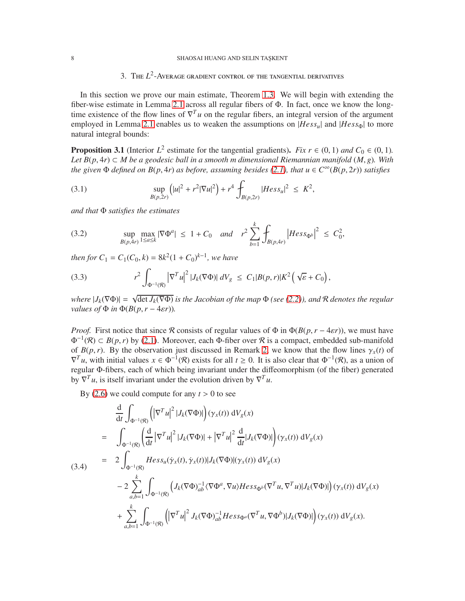## 8 SHAOSAI HUANG AND SELIN TAŞKENT

# 3. The  $L^2$ -Average gradient control of the tangential derivatives

In this section we prove our main estimate, Theorem [1.3.](#page-2-0) We will begin with extending the fiber-wise estimate in Lemma [2.1](#page-3-2) across all regular fibers of Φ. In fact, once we know the longtime existence of the flow lines of  $\nabla^T u$  on the regular fibers, an integral version of the argument employed in Lemma [2.1](#page-3-2) enables us to weaken the assumptions on  $|Hess<sub>u</sub>|$  and  $|Hess<sub>0</sub>|$  to more natural integral bounds:

<span id="page-7-4"></span>**Proposition 3.1** (Interior  $L^2$  estimate for the tangential gradients). *Fix*  $r \in (0, 1)$  *and*  $C_0 \in (0, 1)$ *. Let B*(*p*, 4*r*) ⊂ *M be a geodesic ball in a smooth m dimensional Riemannian manifold* (*M*, *g*)*. With the given*  $\Phi$  *defined on*  $B(p, 4r)$  *as before, assuming besides* [\(2.1\)](#page-3-0)*, that*  $u \in C^{\infty}(B(p, 2r))$  *satisfies* 

<span id="page-7-0"></span>(3.1) 
$$
\sup_{B(p,2r)} (|u|^2 + r^2 |\nabla u|^2) + r^4 \int_{B(p,2r)} |Hess_u|^2 \leq K^2,
$$

*and that* Φ *satisfies the estimates*

<span id="page-7-1"></span>(3.2) 
$$
\sup_{B(p,4r)} \max_{1 \le a \le k} |\nabla \Phi^a| \le 1 + C_0 \quad and \quad r^2 \sum_{b=1}^k \int_{B(p,4r)} |Hess_{\Phi^b}|^2 \le C_0^2,
$$

*then for*  $C_1 = C_1(C_0, k) = 8k^2(1 + C_0)^{k-1}$ , we have

<span id="page-7-3"></span>(3.3) 
$$
r^2 \int_{\Phi^{-1}(\mathcal{R})} |\nabla^T u|^2 |J_k(\nabla \Phi)| dV_g \leq C_1 |B(p,r)| K^2 \left(\sqrt{\varepsilon} + C_0\right),
$$

 $where |J_k(\nabla \Phi)| = \sqrt{\det J_k(\nabla \Phi)}$  is the Jacobian of the map  $\Phi$  (see [\(2.2\)](#page-3-3)), and  $R$  denotes the regular *values of*  $\Phi$  *in*  $\Phi(B(p, r - 4\varepsilon r))$ *.* 

*Proof.* First notice that since R consists of regular values of  $\Phi$  in  $\Phi(B(p, r - 4 \varepsilon r))$ , we must have  $\Phi^{-1}(\mathcal{R}) \subset B(p,r)$  by [\(2.1\)](#page-3-0). Moreover, each  $\Phi$ -fiber over  $\mathcal{R}$  is a compact, embedded sub-manifold of  $B(p, r)$ . By the observation just discussed in Remark [2,](#page-6-3) we know that the flow lines  $\gamma_x(t)$  of  $\nabla^T u$ , with initial values  $x \in \Phi^{-1}(\mathcal{R})$  exists for all  $t \ge 0$ . It is also clear that  $\Phi^{-1}(\mathcal{R})$ , as a union of regular Φ-fibers, each of which being invariant under the diffeomorphism (of the fiber) generated by  $\nabla^T u$ , is itself invariant under the evolution driven by  $\nabla^T u$ .

By  $(2.6)$  we could compute for any  $t > 0$  to see

<span id="page-7-2"></span>
$$
\frac{d}{dt} \int_{\Phi^{-1}(\mathcal{R})} \left( |\nabla^{T} u|^2 |J_k(\nabla \Phi)| \right) (\gamma_x(t)) dV_g(x)
$$
\n
$$
= \int_{\Phi^{-1}(\mathcal{R})} \left( \frac{d}{dt} |\nabla^{T} u|^2 |J_k(\nabla \Phi)| + |\nabla^{T} u|^2 \frac{d}{dt} |J_k(\nabla \Phi)| \right) (\gamma_x(t)) dV_g(x)
$$
\n
$$
= 2 \int_{\Phi^{-1}(\mathcal{R})} Hess_{u}(\dot{\gamma}_x(t), \dot{\gamma}_x(t)) |J_k(\nabla \Phi)| (\gamma_x(t)) dV_g(x)
$$
\n
$$
- 2 \sum_{a,b=1}^{k} \int_{\Phi^{-1}(\mathcal{R})} \left( J_k(\nabla \Phi)_{ab}^{-1} \langle \nabla \Phi^a, \nabla u \rangle Hess_{\Phi^b} (\nabla^{T} u, \nabla^{T} u) |J_k(\nabla \Phi)| \right) (\gamma_x(t)) dV_g(x)
$$
\n
$$
+ \sum_{a,b=1}^{k} \int_{\Phi^{-1}(\mathcal{R})} \left( |\nabla^{T} u|^2 J_k(\nabla \Phi)_{ab}^{-1} Hess_{\Phi^a} (\nabla^{T} u, \nabla \Phi^b) |J_k(\nabla \Phi)| \right) (\gamma_x(t)) dV_g(x).
$$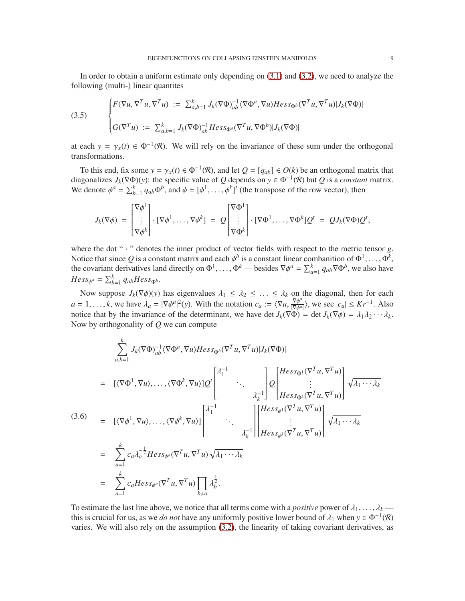In order to obtain a uniform estimate only depending on [\(3.1\)](#page-7-0) and [\(3.2\)](#page-7-1), we need to analyze the following (multi-) linear quantites

(3.5) 
$$
\begin{cases} F(\nabla u, \nabla^T u, \nabla^T u) := \sum_{a,b=1}^k J_k(\nabla \Phi)^{-1}_{ab} \langle \nabla \Phi^a, \nabla u \rangle Hess_{\Phi^b} (\nabla^T u, \nabla^T u) | J_k(\nabla \Phi) | \\ G(\nabla^T u) := \sum_{a,b=1}^k J_k(\nabla \Phi)^{-1}_{ab} Hess_{\Phi^a} (\nabla^T u, \nabla \Phi^b) | J_k(\nabla \Phi) | \end{cases}
$$

at each  $y = \gamma_x(t) \in \Phi^{-1}(\mathcal{R})$ . We will rely on the invariance of these sum under the orthogonal transformations.

To this end, fix some  $y = \gamma_x(t) \in \Phi^{-1}(\mathcal{R})$ , and let  $Q = [q_{ab}] \in O(k)$  be an orthogonal matrix that diagonalizes  $J_k(\nabla \Phi)(y)$ : the specific value of *Q* depends on  $y \in \Phi^{-1}(\mathcal{R})$  but *Q* is a *constant* matrix. We denote  $\phi^a = \sum_{b=1}^k q_{ab} \Phi^b$ , and  $\phi = [\phi^1, \dots, \phi^k]^i$  (the transpose of the row vector), then

$$
J_k(\nabla \phi) = \begin{bmatrix} \nabla \phi^1 \\ \vdots \\ \nabla \phi^k \end{bmatrix} \cdot [\nabla \phi^1, \dots, \nabla \phi^k] = Q \begin{bmatrix} \nabla \Phi^1 \\ \vdots \\ \nabla \Phi^k \end{bmatrix} \cdot [\nabla \Phi^1, \dots, \nabla \Phi^k] Q^t = Q J_k(\nabla \Phi) Q^t,
$$

where the dot " · " denotes the inner product of vector fields with respect to the metric tensor *g*. Notice that since Q is a constant matrix and each  $\phi^b$  is a constant linear combanition of  $\Phi^1,\ldots,\Phi^k$ , the covariant derivatives land directly on  $\Phi^1, \ldots, \Phi^k$  — besides  $\nabla \phi^a = \sum_{a=1}^k q_{ab} \nabla \Phi^b$ , we also have  $Hess_{\phi^a} = \sum_{b=1}^k q_{ab}Hess_{\Phi^b}$ .

Now suppose  $J_k(\nabla \phi)(y)$  has eigenvalues  $\lambda_1 \leq \lambda_2 \leq \ldots \leq \lambda_k$  on the diagonal, then for each  $a = 1, \ldots, k$ , we have  $\lambda_a = |\nabla \phi^a|^2(y)$ . With the notation  $c_a := \langle \nabla u, \frac{\nabla \phi^a}{|\nabla \phi^a|^2} \rangle$  $\frac{\nabla \phi^a}{|\nabla \phi^a|}$ , we see  $|c_a| \leq Kr^{-1}$ . Also | notice that by the invariance of the determinant, we have det  $J_k(\nabla \Phi) = \det J_k(\nabla \phi) = \lambda_1 \lambda_2 \cdots \lambda_k$ . Now by orthogonality of *Q* we can compute

$$
\sum_{a,b=1}^{k} J_k(\nabla \Phi)_{ab}^{-1} \langle \nabla \Phi^a, \nabla u \rangle Hess_{\Phi^b}(\nabla^T u, \nabla^T u) | J_k(\nabla \Phi)|
$$
\n
$$
= [ \langle \nabla \Phi^1, \nabla u \rangle, \dots, \langle \nabla \Phi^k, \nabla u \rangle] Q^t \begin{bmatrix} \lambda_1^{-1} & & & \\ & \ddots & & \\ & & \lambda_k^{-1} \end{bmatrix} Q \begin{bmatrix} Hess_{\Phi^1}(\nabla^T u, \nabla^T u) \\ \vdots \\ Hess_{\Phi^k}(\nabla^T u, \nabla^T u) \end{bmatrix} \sqrt{\lambda_1 \cdots \lambda_k}
$$
\n(3.6)\n
$$
= [ \langle \nabla \phi^1, \nabla u \rangle, \dots, \langle \nabla \phi^k, \nabla u \rangle ] \begin{bmatrix} \lambda_1^{-1} & & \\ & \ddots & \\ & & \lambda_k^{-1} \end{bmatrix} \begin{bmatrix} Hess_{\phi^1}(\nabla^T u, \nabla^T u) \\ \vdots \\ Hess_{\phi^k}(\nabla^T u, \nabla^T u) \end{bmatrix} \sqrt{\lambda_1 \cdots \lambda_k}
$$
\n
$$
= \sum_{a=1}^{k} c_a \lambda_a^{-\frac{1}{2}} Hess_{\phi^a}(\nabla^T u, \nabla^T u) \sqrt{\lambda_1 \cdots \lambda_k}
$$
\n
$$
= \sum_{a=1}^{k} c_a Hess_{\phi^a}(\nabla^T u, \nabla^T u) \prod_{b \neq a} \lambda_b^{\frac{1}{2}}.
$$

To estimate the last line above, we notice that all terms come with a *positive* power of  $\lambda_1, \ldots, \lambda_k$ this is crucial for us, as we *do not* have any uniformly positive lower bound of  $\lambda_1$  when  $y \in \Phi^{-1}(\mathcal{R})$ varies. We will also rely on the assumption [\(3.2\)](#page-7-1), the linearity of taking covariant derivatives, as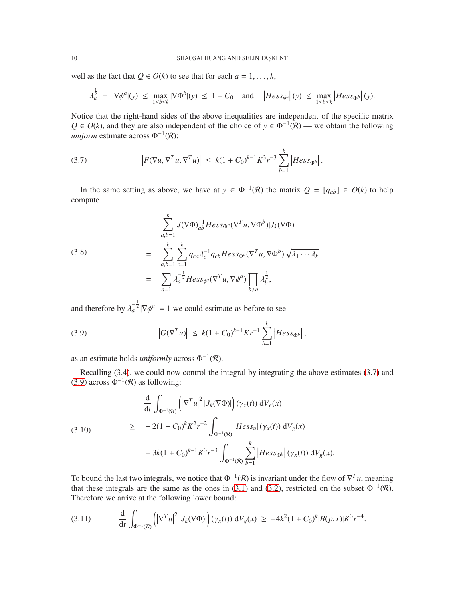well as the fact that  $Q \in O(k)$  to see that for each  $a = 1, \ldots, k$ ,

$$
\lambda_a^{\frac{1}{2}} = |\nabla \phi^a|(y) \le \max_{1 \le b \le k} |\nabla \Phi^b|(y) \le 1 + C_0 \quad \text{and} \quad \left| \text{Hess}_{\phi^a}\right|(y) \le \max_{1 \le b \le k} \left| \text{Hess}_{\Phi^b}\right|(y).
$$

Notice that the right-hand sides of the above inequalities are independent of the specific matrix  $Q \in O(k)$ , and they are also independent of the choice of  $y \in \Phi^{-1}(\mathcal{R})$  — we obtain the following *uniform* estimate across  $\Phi^{-1}(\mathcal{R})$ :

<span id="page-9-0"></span>(3.7) 
$$
\left| F(\nabla u, \nabla^T u, \nabla^T u) \right| \leq k(1 + C_0)^{k-1} K^3 r^{-3} \sum_{b=1}^k \left| Hess_{\Phi^b} \right|.
$$

In the same setting as above, we have at  $y \in \Phi^{-1}(\mathcal{R})$  the matrix  $Q = [q_{ab}] \in O(k)$  to help compute

(3.8)  
\n
$$
\sum_{a,b=1}^{k} J(\nabla \Phi)_{ab}^{-1} Hess_{\Phi^a} (\nabla^T u, \nabla \Phi^b) |J_k(\nabla \Phi)|
$$
\n
$$
= \sum_{a,b=1}^{k} \sum_{c=1}^{k} q_{ca} \lambda_c^{-1} q_{cb} Hess_{\Phi^a} (\nabla^T u, \nabla \Phi^b) \sqrt{\lambda_1 \cdots \lambda_k}
$$
\n
$$
= \sum_{a=1}^{k} \lambda_a^{-\frac{1}{2}} Hess_{\Phi^a} (\nabla^T u, \nabla \phi^a) \prod_{b \neq a} \lambda_b^{\frac{1}{2}},
$$

and therefore by  $\lambda_a^{-\frac{1}{2}} |\nabla \phi^a| = 1$  we could estimate as before to see

<span id="page-9-1"></span>(3.9) 
$$
\left| G(\nabla^T u) \right| \leq k(1+C_0)^{k-1} K r^{-1} \sum_{b=1}^k \left| Hess_{\Phi^b} \right|,
$$

as an estimate holds *uniformly* across  $\Phi^{-1}(\mathcal{R})$ .

Recalling [\(3.4\)](#page-7-2), we could now control the integral by integrating the above estimates [\(3.7\)](#page-9-0) and [\(3.9\)](#page-9-1) across  $\Phi^{-1}(\mathcal{R})$  as following:

<span id="page-9-2"></span>
$$
\frac{d}{dt} \int_{\Phi^{-1}(\mathcal{R})} \left( \left| \nabla^{T} u \right|^{2} |J_{k}(\nabla \Phi)| \right) (\gamma_{x}(t)) \, dV_{g}(x)
$$
\n
$$
\geq -2(1+C_{0})^{k} K^{2} r^{-2} \int_{\Phi^{-1}(\mathcal{R})} |Hess_{u}| (\gamma_{x}(t)) \, dV_{g}(x)
$$
\n
$$
-3k(1+C_{0})^{k-1} K^{3} r^{-3} \int_{\Phi^{-1}(\mathcal{R})} \sum_{b=1}^{k} \left| Hess_{\Phi^{b}} \right| (\gamma_{x}(t)) \, dV_{g}(x).
$$

To bound the last two integrals, we notice that  $\Phi^{-1}(\mathcal{R})$  is invariant under the flow of  $\nabla^T u$ , meaning that these integrals are the same as the ones in [\(3.1\)](#page-7-0) and [\(3.2\)](#page-7-1), restricted on the subset  $\Phi^{-1}(\mathcal{R})$ . Therefore we arrive at the following lower bound:

$$
(3.11) \qquad \frac{\mathrm{d}}{\mathrm{d}t} \int_{\Phi^{-1}(\mathcal{R})} \left( \left| \nabla^T u \right|^2 |J_k(\nabla \Phi)| \right) (\gamma_x(t)) \, \mathrm{d}V_g(x) \ \geq \ -4k^2 (1+C_0)^k |B(p,r)| K^3 r^{-4}.
$$

1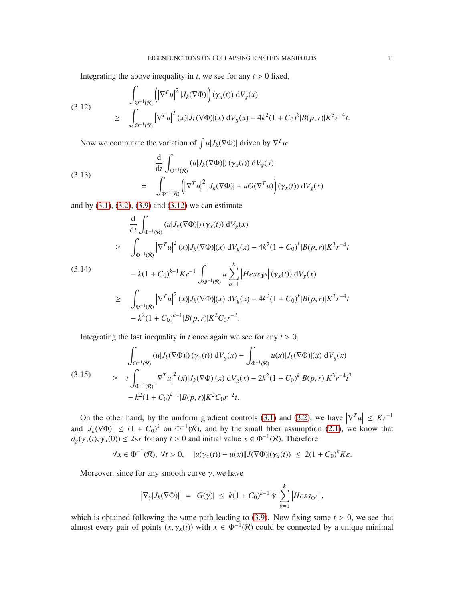Integrating the above inequality in  $t$ , we see for any  $t > 0$  fixed,

<span id="page-10-0"></span>(3.12) 
$$
\int_{\Phi^{-1}(\mathcal{R})} \left( \left| \nabla^{T} u \right|^{2} |J_{k}(\nabla \Phi)| \right) (\gamma_{x}(t)) \, \mathrm{d}V_{g}(x) \newline \geq \int_{\Phi^{-1}(\mathcal{R})} \left| \nabla^{T} u \right|^{2} (x) |J_{k}(\nabla \Phi)| (x) \, \mathrm{d}V_{g}(x) - 4k^{2} (1 + C_{0})^{k} |B(p, r)| K^{3} r^{-4} t.
$$

Now we computate the variation of  $\int u|J_k(\nabla \Phi)|$  driven by  $\nabla^T u$ :

<span id="page-10-2"></span>(3.13)  

$$
\frac{d}{dt} \int_{\Phi^{-1}(\mathcal{R})} (u|J_k(\nabla \Phi)|) (\gamma_x(t)) dV_g(x)
$$

$$
= \int_{\Phi^{-1}(\mathcal{R})} (|\nabla^T u|^2 |J_k(\nabla \Phi)| + uG(\nabla^T u) ) (\gamma_x(t)) dV_g(x)
$$

and by [\(3.1\)](#page-7-0), [\(3.2\)](#page-7-1), [\(3.9\)](#page-9-1) and [\(3.12\)](#page-10-0) we can estimate

$$
\frac{d}{dt} \int_{\Phi^{-1}(\mathcal{R})} (u|J_k(\nabla \Phi)|) (\gamma_x(t)) dV_g(x)
$$
\n
$$
\geq \int_{\Phi^{-1}(\mathcal{R})} |\nabla^T u|^2 (x)| J_k(\nabla \Phi)| (x) dV_g(x) - 4k^2 (1 + C_0)^k |B(p, r)| K^3 r^{-4} t
$$
\n(3.14)\n
$$
-k(1 + C_0)^{k-1} K r^{-1} \int_{\Phi^{-1}(\mathcal{R})} u \sum_{b=1}^k |Hess_{\Phi^b}| (\gamma_x(t)) dV_g(x)
$$
\n
$$
\geq \int_{\Phi^{-1}(\mathcal{R})} |\nabla^T u|^2 (x)| J_k(\nabla \Phi)| (x) dV_g(x) - 4k^2 (1 + C_0)^k |B(p, r)| K^3 r^{-4} t
$$
\n
$$
-k^2 (1 + C_0)^{k-1} |B(p, r)| K^2 C_0 r^{-2}.
$$

Integrating the last inequality in *t* once again we see for any  $t > 0$ ,

<span id="page-10-1"></span>
$$
\int_{\Phi^{-1}(\mathcal{R})} (u|J_k(\nabla \Phi)|) (\gamma_x(t)) \, dV_g(x) - \int_{\Phi^{-1}(\mathcal{R})} u(x)|J_k(\nabla \Phi)|(x) \, dV_g(x)
$$
\n
$$
\geq t \int_{\Phi^{-1}(\mathcal{R})} |\nabla^T u|^2(x)|J_k(\nabla \Phi)|(x) \, dV_g(x) - 2k^2 (1 + C_0)^k |B(p, r)| K^3 r^{-4} t^2
$$
\n
$$
-k^2 (1 + C_0)^{k-1} |B(p, r)| K^2 C_0 r^{-2} t.
$$

On the other hand, by the uniform gradient controls [\(3.1\)](#page-7-0) and [\(3.2\)](#page-7-1), we have  $|\nabla^T u| \leq Kr^{-1}$ and  $|J_k(\nabla \Phi)| \leq (1+C_0)^k$  on  $\Phi^{-1}(\mathcal{R})$ , and by the small fiber assumption [\(2.1\)](#page-3-0), we know that  $d_g(\gamma_x(t), \gamma_x(0)) \le 2\varepsilon r$  for any  $t > 0$  and initial value  $x \in \Phi^{-1}(\mathcal{R})$ . Therefore

$$
\forall x \in \Phi^{-1}(\mathcal{R}), \ \forall t > 0, \quad |u(\gamma_x(t)) - u(x)||J(\nabla \Phi)(\gamma_x(t)) \le 2(1+C_0)^k K\varepsilon.
$$

Moreover, since for any smooth curve  $\gamma$ , we have

$$
\left| \nabla_{\dot{\gamma}} |J_k(\nabla \Phi) | \right| \ = \ |G(\dot{\gamma})| \ \leq \ k (1 + C_0)^{k-1} |\dot{\gamma}| \sum_{b=1}^k \left| Hess_{\Phi^b} \right|,
$$

which is obtained following the same path leading to  $(3.9)$ . Now fixing some  $t > 0$ , we see that almost every pair of points  $(x, \gamma_x(t))$  with  $x \in \Phi^{-1}(\mathcal{R})$  could be connected by a unique minimal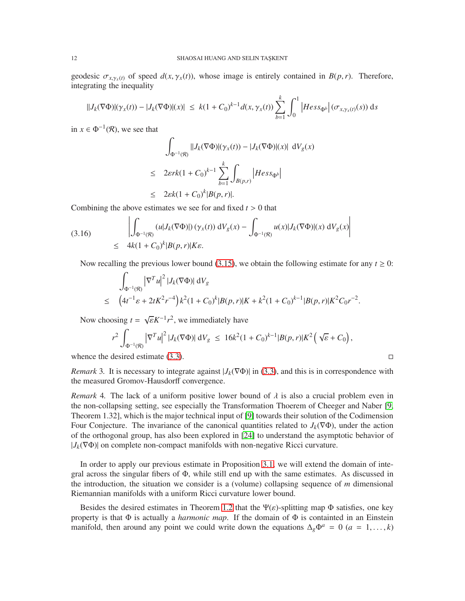geodesic  $\sigma_{x, \gamma_x(t)}$  of speed  $d(x, \gamma_x(t))$ , whose image is entirely contained in  $B(p, r)$ . Therefore, integrating the inequality

$$
||J_k(\nabla \Phi)|(\gamma_x(t)) - |J_k(\nabla \Phi)|(x)| \leq k(1+C_0)^{k-1} d(x, \gamma_x(t)) \sum_{b=1}^k \int_0^1 |Hess_{\Phi^b}| (\sigma_{x, \gamma_x(t)}(s)) ds
$$

in  $x \in \Phi^{-1}(\mathcal{R})$ , we see that

$$
\int_{\Phi^{-1}(\mathcal{R})} ||J_k(\nabla \Phi)|(\gamma_x(t)) - |J_k(\nabla \Phi)|(x) || dV_g(x)
$$
\n
$$
\leq 2\varepsilon r k (1 + C_0)^{k-1} \sum_{b=1}^k \int_{B(p,r)} |Hess_{\Phi^b}|
$$
\n
$$
\leq 2\varepsilon k (1 + C_0)^k |B(p,r)|.
$$

Combining the above estimates we see for and fixed *t* > 0 that

<span id="page-11-0"></span>(3.16) 
$$
\left| \int_{\Phi^{-1}(\mathcal{R})} (u | J_k(\nabla \Phi) |) (\gamma_x(t)) dV_g(x) - \int_{\Phi^{-1}(\mathcal{R})} u(x) | J_k(\nabla \Phi) |(x) dV_g(x) \right|
$$
  
 
$$
\leq 4k(1 + C_0)^k |B(p, r)| K \varepsilon.
$$

Now recalling the previous lower bound [\(3.15\)](#page-10-1), we obtain the following estimate for any  $t \ge 0$ :

$$
\int_{\Phi^{-1}(\mathcal{R})} |\nabla^T u|^2 |J_k(\nabla \Phi)| \, \mathrm{d} V_g
$$
\n
$$
\leq (4t^{-1} \varepsilon + 2tK^2 r^{-4}) k^2 (1 + C_0)^k |B(p, r)| K + k^2 (1 + C_0)^{k-1} |B(p, r)| K^2 C_0 r^{-2}.
$$

Now choosing  $t = \sqrt{\varepsilon} K^{-1} r^2$ , we immediately have

$$
r^2 \int_{\Phi^{-1}(\mathcal{R})} \left| \nabla^T u \right|^2 |J_k(\nabla \Phi)| \, \mathrm{d}V_g \, \leq \, 16k^2 (1+C_0)^{k-1} |B(p,r)| K^2 \left( \sqrt{\varepsilon} + C_0 \right),
$$

whence the desired estimate [\(3.3\)](#page-7-3).  $\Box$ 

*Remark* 3. It is necessary to integrate against  $|J_k(\nabla \Phi)|$  in [\(3.3\)](#page-7-3), and this is in correspondence with the measured Gromov-Hausdorff convergence.

*Remark* 4. The lack of a uniform positive lower bound of  $\lambda$  is also a crucial problem even in the non-collapsing setting, see especially the Transformation Thoerem of Cheeger and Naber [\[9,](#page-14-4) Theorem 1.32], which is the major technical input of [\[9\]](#page-14-4) towards their solution of the Codimension Four Conjecture. The invariance of the canonical quantities related to  $J_k(\nabla \Phi)$ , under the action of the orthogonal group, has also been explored in [\[24\]](#page-15-7) to understand the asymptotic behavior of  $|J_k(\nabla \Phi)|$  on complete non-compact manifolds with non-negative Ricci curvature.

In order to apply our previous estimate in Proposition [3.1,](#page-7-4) we will extend the domain of integral across the singular fibers of Φ, while still end up with the same estimates. As discussed in the introduction, the situation we consider is a (volume) collapsing sequence of *m* dimensional Riemannian manifolds with a uniform Ricci curvature lower bound.

Besides the desired estimates in Theorem [1.2](#page-1-0) that the  $\Psi(\varepsilon)$ -splitting map  $\Phi$  satisfies, one key property is that  $\Phi$  is actually a *harmonic map*. If the domain of  $\Phi$  is containted in an Einstein manifold, then around any point we could write down the equations  $\Delta_g \Phi^a = 0$  ( $a = 1, \ldots, k$ )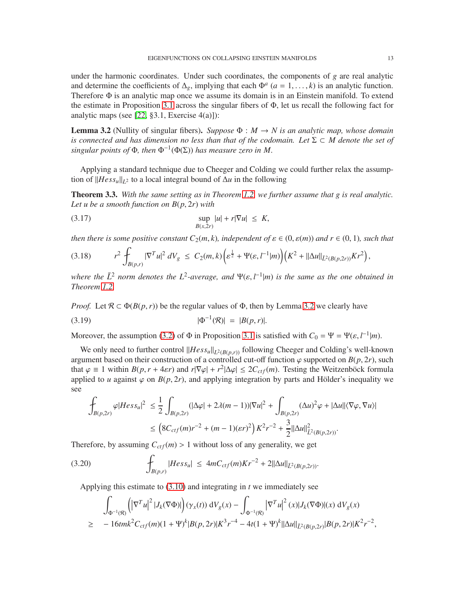under the harmonic coordinates. Under such coordinates, the components of  $g$  are real analytic and determine the coefficients of  $\Delta_g$ , implying that each  $\Phi^a$  (*a* = 1, ..., *k*) is an analytic function. Therefore Φ is an analytic map once we assume its domain is in an Einstein manifold. To extend the estimate in Proposition [3.1](#page-7-4) across the singular fibers of  $\Phi$ , let us recall the following fact for analytic maps (see [\[22,](#page-15-8) §3.1, Exercise 4(a)]):

<span id="page-12-1"></span>**Lemma 3.2** (Nullity of singular fibers). *Suppose*  $\Phi : M \to N$  is an analytic map, whose domain *is connected and has dimension no less than that of the codomain. Let* <sup>Σ</sup> <sup>⊂</sup> *M denote the set of singular points of*  $\Phi$ *, then*  $\Phi^{-1}(\Phi(\Sigma))$  *has measure zero in M*.

Applying a standard technique due to Cheeger and Colding we could further relax the assumption of  $||Hess_u||_{L^2}$  to a local integral bound of  $\Delta u$  in the following

<span id="page-12-0"></span>Theorem 3.3. *With the same setting as in Theorem [1.2,](#page-1-0) we further assume that g is real analytic. Let u be a smooth function on B*(*p*, 2*r*) *with*

<span id="page-12-3"></span>
$$
\sup_{B(x,2r)} |u| + r|\nabla u| \leq K,
$$

*then there is some positive constant*  $C_2(m, k)$ *, independent of*  $\varepsilon \in (0, \varepsilon(m))$  *and*  $r \in (0, 1)$ *, such that* 

$$
(3.18) \t r^2 \int_{B(p,r)} |\nabla^T u|^2 dV_g \leq C_2(m,k) \Big( \varepsilon^{\frac{1}{2}} + \Psi(\varepsilon, l^{-1}|m) \Big) \Big( K^2 + ||\Delta u||_{\bar{L}^2(B(p,2r))} Kr^2 \Big),
$$

*where the*  $\bar{L}^2$  *norm denotes the*  $L^2$ -*average, and*  $\Psi(\varepsilon, l^{-1}|m)$  *is the same as the one obtained in Theorem [1.2.](#page-1-0)*

*Proof.* Let  $\mathcal{R} \subset \Phi(B(p, r))$  be the regular values of  $\Phi$ , then by Lemma [3.2](#page-12-1) we clearly have

<span id="page-12-2"></span>(3.19) 
$$
|\Phi^{-1}(\mathcal{R})| = |B(p, r)|.
$$

Moreover, the assumption [\(3.2\)](#page-7-1) of  $\Phi$  in Proposition [3.1](#page-7-4) is satisfied with  $C_0 = \Psi = \Psi(\varepsilon, l^{-1}|m)$ .

We only need to further control  $\frac{||Hess_u||_{L^2(B(p,r))}}{||Hess_u||_{L^2(B(p,r))}}$  following Cheeger and Colding's well-known argument based on their construction of a controlled cut-off function  $\varphi$  supported on  $B(p, 2r)$ , such that  $\varphi \equiv 1$  within  $B(p, r + 4\varepsilon r)$  and  $r|\nabla \varphi| + r^2|\Delta \varphi| \leq 2C_{ctf}(m)$ . Testing the Weitzenböck formula applied to *u* against  $\varphi$  on  $B(p, 2r)$ , and applying integration by parts and Hölder's inequality we see

$$
\int_{B(p,2r)} \varphi |Hess_{u}|^{2} \leq \frac{1}{2} \int_{B(p,2r)} (|\Delta \varphi| + 2\lambda (m-1)) |\nabla u|^{2} + \int_{B(p,2r)} (\Delta u)^{2} \varphi + |\Delta u| |\langle \nabla \varphi, \nabla u \rangle|
$$
\n
$$
\leq \left( 8C_{ctf}(m)r^{-2} + (m-1)(\varepsilon r)^{2} \right) K^{2} r^{-2} + \frac{3}{2} ||\Delta u||_{L^{2}(B(p,2r))}^{2}.
$$

Therefore, by assuming  $C_{ctf}(m) > 1$  without loss of any generality, we get

$$
(3.20) \qquad \qquad \int_{B(p,r)} |Hess_{u}| \leq 4mC_{ctf}(m)Kr^{-2} + 2||\Delta u||_{\bar{L}^{2}(B(p,2r))}.
$$

Applying this estimate to [\(3.10\)](#page-9-2) and integrating in *t* we immediately see

$$
\int_{\Phi^{-1}(\mathcal{R})} \left( \left| \nabla^T u \right|^2 |J_k(\nabla \Phi)| \right) (\gamma_x(t)) \, \mathrm{d}V_g(x) - \int_{\Phi^{-1}(\mathcal{R})} \left| \nabla^T u \right|^2 (x) |J_k(\nabla \Phi)| (x) \, \mathrm{d}V_g(x)
$$
\n
$$
\geq -16tmk^2 C_{ctf}(m)(1+\Psi)^k |B(p,2r)| K^3 r^{-4} - 4t(1+\Psi)^k ||\Delta u||_{\bar{L}^2(B(p,2r)} |B(p,2r)| K^2 r^{-2},
$$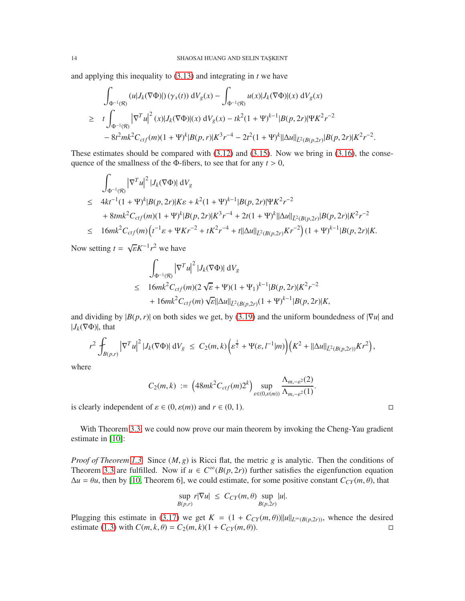and applying this inequality to [\(3.13\)](#page-10-2) and integrating in *t* we have

$$
\int_{\Phi^{-1}(\mathcal{R})} (u|J_k(\nabla \Phi)|) \left(\gamma_x(t)\right) dV_g(x) - \int_{\Phi^{-1}(\mathcal{R})} u(x)|J_k(\nabla \Phi)|(x) dV_g(x)
$$
\n
$$
\geq t \int_{\Phi^{-1}(\mathcal{R})} |\nabla^T u|^2(x)|J_k(\nabla \Phi)|(x) dV_g(x) - tk^2(1+\Psi)^{k-1}|B(p,2r)|\Psi K^2 r^{-2}
$$
\n
$$
-8t^2mk^2C_{ctf}(m)(1+\Psi)^k|B(p,r)|K^3r^{-4} - 2t^2(1+\Psi)^k||\Delta u||_{\bar{L}^2(B(p,2r)}|B(p,2r)|K^2r^{-2}.
$$

These estimates should be compared with  $(3.12)$  and  $(3.15)$ . Now we bring in  $(3.16)$ , the consequence of the smallness of the  $\Phi$ -fibers, to see that for any  $t > 0$ ,

$$
\int_{\Phi^{-1}(\mathcal{R})} |\nabla^{T} u|^2 |J_k(\nabla \Phi)| dV_g
$$
\n
$$
\leq 4kt^{-1} (1 + \Psi)^k |B(p, 2r)| K \varepsilon + k^2 (1 + \Psi)^{k-1} |B(p, 2r)| \Psi K^2 r^{-2}
$$
\n
$$
+ 8tmk^2 C_{ctf}(m)(1 + \Psi)^k |B(p, 2r)| K^3 r^{-4} + 2t(1 + \Psi)^k ||\Delta u||_{\tilde{L}^2(B(p, 2r)} |B(p, 2r)| K^2 r^{-2}
$$
\n
$$
\leq 16mk^2 C_{ctf}(m) \left( t^{-1} \varepsilon + \Psi Kr^{-2} + tK^2 r^{-4} + t ||\Delta u||_{\tilde{L}^2(B(p, 2r)} Kr^{-2}) (1 + \Psi)^{k-1} |B(p, 2r)| K.
$$

Now setting  $t = \sqrt{\varepsilon} K^{-1} r^2$  we have

$$
\int_{\Phi^{-1}(\mathcal{R})} |\nabla^T u|^2 |J_k(\nabla \Phi)| dV_g
$$
\n
$$
\leq 16mk^2 C_{ctf}(m)(2\sqrt{\varepsilon} + \Psi)(1 + \Psi_1)^{k-1} |B(p, 2r)| K^2 r^{-2}
$$
\n
$$
+ 16mk^2 C_{ctf}(m) \sqrt{\varepsilon} ||\Delta u||_{\tilde{L}^2(B(p, 2r)} (1 + \Psi)^{k-1} |B(p, 2r)| K,
$$

and dividing by  $|B(p, r)|$  on both sides we get, by [\(3.19\)](#page-12-2) and the uniform boundedness of  $|\nabla u|$  and  $|J_k(\nabla \Phi)|$ , that

$$
r^2 \int_{B(p,r)} \left|\nabla^T u\right|^2 |J_k(\nabla \Phi)| \, \mathrm{d} V_g \, \leq \, C_2(m,k) \bigg( \varepsilon^{\frac{1}{2}} + \Psi(\varepsilon, l^{-1}|m) \bigg) \big( K^2 + ||\Delta u||_{\bar{L}^2(B(p,2r))} K r^2 \bigg),
$$

where

$$
C_2(m,k) := \left(48mk^2C_{ctf}(m)2^k\right)\sup_{\varepsilon\in(0,\varepsilon(m))}\frac{\Lambda_{m,-\varepsilon^2}(2)}{\Lambda_{m,-\varepsilon^2}(1)}.
$$

is clearly independent of  $\varepsilon \in (0, \varepsilon(m))$  and  $r \in (0, 1)$ .

With Theorem [3.3,](#page-12-0) we could now prove our main theorem by invoking the Cheng-Yau gradient estimate in [\[10\]](#page-14-18):

*Proof of Theorem [1.3.](#page-2-0)* Since (*M*, *g*) is Ricci flat, the metric *g* is analytic. Then the conditions of Theorem [3.3](#page-12-0) are fulfilled. Now if  $u \in C^{\infty}(B(p, 2r))$  further satisfies the eigenfunction equation  $\Delta u = \theta u$ , then by [\[10,](#page-14-18) Theorem 6], we could estimate, for some positive constant  $C_{CY}(m, \theta)$ , that

$$
\sup_{B(p,r)} r|\nabla u| \leq C_{CY}(m,\theta) \sup_{B(p,2r)} |u|.
$$

Plugging this estimate in [\(3.17\)](#page-12-3) we get  $K = (1 + C_{CY}(m, \theta)) ||u||_{L^{\infty}(B(p, 2r))}$ , whence the desired estimate (1.3) with  $C(m, k, \theta) = C_2(m, k)(1 + C_{CY}(m, \theta))$ . estimate [\(1.3\)](#page-2-1) with  $C(m, k, \theta) = C_2(m, k)(1 + C_{CY}(m, \theta)).$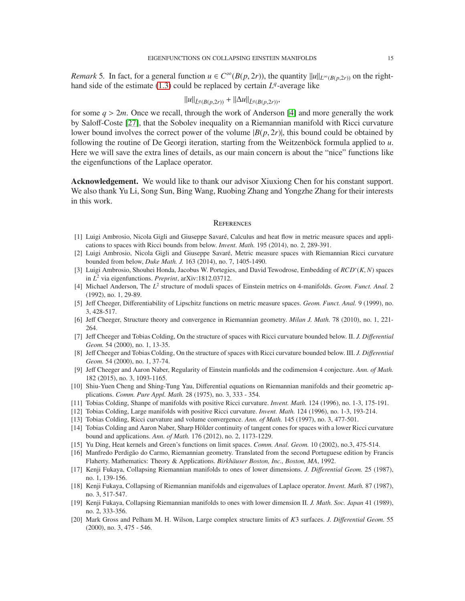*Remark* 5. In fact, for a general function  $u \in C^\infty(B(p, 2r))$ , the quantity  $||u||_{L^\infty(B(p, 2r))}$  on the righthand side of the estimate  $(1.3)$  could be replaced by certain  $L<sup>q</sup>$ -average like

$$
||u||_{\bar{L}^q(B(p,2r))} + ||\Delta u||_{\bar{L}^q(B(p,2r))},
$$

for some  $q > 2m$ . Once we recall, through the work of Anderson [\[4\]](#page-14-19) and more generally the work by Saloff-Coste [\[27\]](#page-15-9), that the Sobolev inequality on a Riemannian manifold with Ricci curvature lower bound involves the correct power of the volume  $|B(p, 2r)|$ , this bound could be obtained by following the routine of De Georgi iteration, starting from the Weitzenböck formula applied to *u*. Here we will save the extra lines of details, as our main concern is about the "nice" functions like the eigenfunctions of the Laplace operator.

Acknowledgement. We would like to thank our advisor Xiuxiong Chen for his constant support. We also thank Yu Li, Song Sun, Bing Wang, Ruobing Zhang and Yongzhe Zhang for their interests in this work.

#### **REFERENCES**

- <span id="page-14-14"></span>[1] Luigi Ambrosio, Nicola Gigli and Giuseppe Savaré, Calculus and heat flow in metric measure spaces and applications to spaces with Ricci bounds from below. *Invent. Math.* 195 (2014), no. 2, 289-391.
- <span id="page-14-15"></span><span id="page-14-13"></span>[2] Luigi Ambrosio, Nicola Gigli and Giuseppe Savaré, Metric measure spaces with Riemannian Ricci curvature bounded from below, *Duke Math. J.* 163 (2014), no. 7, 1405-1490.
- [3] Luigi Ambrosio, Shouhei Honda, Jacobus W. Portegies, and David Tewodrose, Embedding of *RCD*<sup>∗</sup> (*K*, *N*) spaces in *L* <sup>2</sup> via eigenfunctions. *Preprint*, arXiv:1812.03712.
- <span id="page-14-19"></span><span id="page-14-11"></span>[4] Michael Anderson, The *L* 2 structure of moduli spaces of Einstein metrics on 4-manifolds. *Geom. Funct. Anal.* 2 (1992), no. 1, 29-89.
- <span id="page-14-16"></span>[5] Jeff Cheeger, Differentiability of Lipschitz functions on metric measure spaces. *Geom. Funct. Anal.* 9 (1999), no. 3, 428-517.
- <span id="page-14-3"></span>[6] Jeff Cheeger, Structure theory and convergence in Riemannian geometry. *Milan J. Math.* 78 (2010), no. 1, 221- 264.
- [7] Jeff Cheeger and Tobias Colding, On the structure of spaces with Ricci curvature bounded below. II. *J. Di*ff*erential Geom.* 54 (2000), no. 1, 13-35.
- <span id="page-14-9"></span>[8] Jeff Cheeger and Tobias Colding, On the structure of spaces with Ricci curvature bounded below. III. *J. Di*ff*erential Geom.* 54 (2000), no. 1, 37-74.
- <span id="page-14-4"></span>[9] Jeff Cheeger and Aaron Naber, Regularity of Einstein manfiolds and the codimension 4 conjecture. *Ann. of Math.* 182 (2015), no. 3, 1093-1165.
- <span id="page-14-18"></span>[10] Shiu-Yuen Cheng and Shing-Tung Yau, Differential equations on Riemannian manifolds and their geometric applications. *Comm. Pure Appl. Math.* 28 (1975), no. 3, 333 - 354.
- <span id="page-14-7"></span><span id="page-14-6"></span>[11] Tobias Colding, Shanpe of manifolds with positive Ricci curvature. *Invent. Math.* 124 (1996), no. 1-3, 175-191.
- <span id="page-14-8"></span>[12] Tobias Colding, Large manifolds with positive Ricci curvature. *Invent. Math.* 124 (1996), no. 1-3, 193-214.
- <span id="page-14-10"></span>[13] Tobias Colding, Ricci curvature and volume convergence. *Ann. of Math.* 145 (1997), no. 3, 477-501.
- [14] Tobias Colding and Aaron Naber, Sharp Hölder continuity of tangent cones for spaces with a lower Ricci curvature bound and applications. *Ann. of Math.* 176 (2012), no. 2, 1173-1229.
- <span id="page-14-17"></span><span id="page-14-12"></span>[15] Yu Ding, Heat kernels and Green's functions on limit spaces. *Comm. Anal. Geom.* 10 (2002), no.3, 475-514.
- [16] Manfredo Perdigão do Carmo, Riemannian geometry. Translated from the second Portuguese edition by Francis Flaherty. Mathematics: Theory & Applications. *Birkhäuser Boston, Inc., Boston, MA*, 1992.
- <span id="page-14-5"></span>[17] Kenji Fukaya, Collapsing Riemannian manifolds to ones of lower dimensions. *J. Di*ff*erential Geom.* 25 (1987), no. 1, 139-156.
- <span id="page-14-0"></span>[18] Kenji Fukaya, Collapsing of Riemannian manifolds and eigenvalues of Laplace operator. *Invent. Math.* 87 (1987), no. 3, 517-547.
- <span id="page-14-1"></span>[19] Kenji Fukaya, Collapsing Riemannian manifolds to ones with lower dimension II. *J. Math. Soc. Japan* 41 (1989), no. 2, 333-356.
- <span id="page-14-2"></span>[20] Mark Gross and Pelham M. H. Wilson, Large complex structure limits of *K*3 surfaces. *J. Di*ff*erential Geom.* 55 (2000), no. 3, 475 - 546.